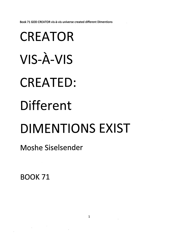*Book 71 GOD CREATOR vis-a-vis universe created different Dimentions*

## *CREATOR VIS-A-VIS CREATED: Different DIMENTIONS EXIST*

*Moshe Siselsender*

*BOOK 71*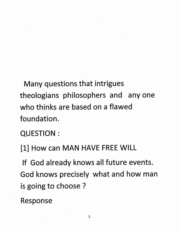*Many questions that intrigues theologians philosophers and anyone who thinks are based on a flawed foundation.*

*QUESTION :*

*[1] How can MAN HAVE FREE WILL*

*If God already knows all future events. God knows precisely what and how man is going to choose ?*

*Response*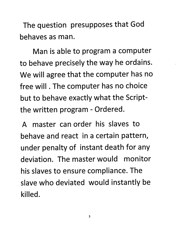*The question presupposes that God behaves as man.*

*Man is able to program a computer to behave precisely the way he ordains. We will agree that the computer has no free will. The computer has no choice but to behave exactly what the Scriptthe written program - Ordered.*

*A master can order his slaves to behave and react in a certain pattern, under penalty of instant death for any deviation. The master would monitor his slaves to ensure compliance. The slave who deviated would instantly be killed.*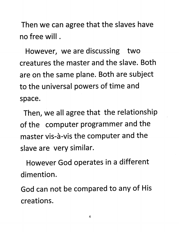Then we can agree that the slaves have no free will.

However, we are discussing two creatures the master and the slave. Both are on the same plane. Both are subject to the universal powers of time and space.

Then, we all agree that the relationship of the computer programmer and the master vis-à-vis the computer and the slave are very similar.

However God operates in a different dimention.

God can not be compared to any of His creations.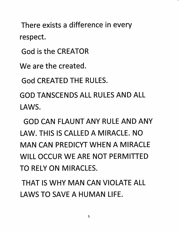*There exists a difference in every respect.*

*God is the CREATOR*

*We are the created.*

*God CREATED THE RULES.*

*GOD TANSCENDS ALL RULES AND ALL LAWS.*

*GOD CAN FLAUNT ANY RULE AND ANY LAW. THIS IS CALLED A MIRACLE. NO MAN CAN PREDICYT WHEN A MIRACLE WILL OCCUR WE ARE NOT PERMITTED TO RELY ON MIRACLES.*

*THAT IS WHY MAN CAN VIOLATE ALL LAWS TO SAVE A HUMAN LIFE.*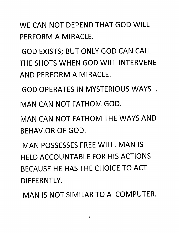*WE CAN NOT DEPEND THAT GOD WILL PERFORM A MIRACLE.*

*GOD EXISTS; BUT ONLY GOD CAN CALL THE SHOTS WHEN GOD WILL INTERVENE AND PERFORM A MIRACLE.*

*GOD OPERATES IN MYSTERIOUS WAYS .*

*MAN CAN NOT FATHOM GOD.*

*MAN CAN NOT FATHOM THE WAYS AND BEHAVIOR OF GOD.*

*MAN POSSESSES FREE WILL. MAN IS HELD ACCOUNTABLE FOR HIS ACTIONS BECAUSE HE HAS THE CHOICE TO ACT DIFFERNTLY.*

*MAN IS NOT SIMILAR TO A COMPUTER.*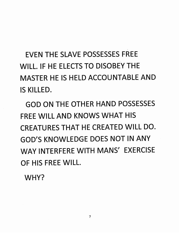*EVEN THE SLAVE POSSESSES FREE WILL. IF HE ELECTS TO DISOBEY THE MASTER HE IS HELD ACCOUNTABLE AND IS KILLED.*

*GOD ON THE OTHER HAND POSSESSES FREE WILL AND KNOWS WHAT HIS CREATURES THAT HE CREATED WILL DO. GOD'S KNOWLEDGE DOES NOT IN ANY WAY INTERFERE WITH MANS' EXERCISE OF HIS FREE WILL.*

*WHY?*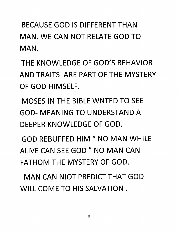*BECAUSE GOD IS DIFFERENT THAN MAN. WE CAN NOT RELATE GOD TO MAN.*

*THE KNOWLEDGE OF GOD'S BEHAVIOR AND TRAITS ARE PART OF THE MYSTERY OF GOD HIMSELF.*

*MOSES IN THE BIBLE WNTED TO SEE GOD- MEANING TO UNDERSTAND A DEEPER KNOWLEDGE OF GOD.*

*GOD REBUFFED HIM " NO MAN WHILE ALIVE CAN SEE GOD " NO MAN CAN FATHOM THE MYSTERY OF GOD.*

*MAN CAN NIOT PREDICT THAT GOD WILL COME TO HIS SALVATION .*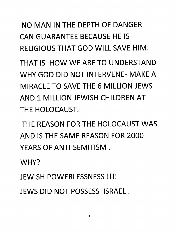*NO MAN IN THE DEPTH OF DANGER CAN GUARANTEE BECAUSE HE IS RELIGIOUS THAT GOD WILL SAVE HIM.*

*THAT IS HOW WE ARE TO UNDERSTAND WHY GOD DID NOT INTERVENE- MAKE A MIRACLE TO SAVE THE 6 MILLION JEWS AND 1 MILLION JEWISH CHILDREN AT THE HOLOCAUST.*

*THE REASON FOR THE HOLOCAUST WAS AND IS THE SAME REASON FOR 2000 YEARS OF ANTI-SEMITISM .*

*WHY?*

*JEWISH POWERLESSNESS !!!!*

*JEWS DID NOT POSSESS ISRAEL .*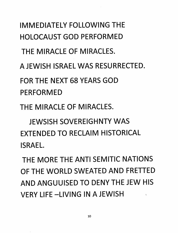*IMMEDIATELY FOLLOWING THE HOLOCAUST GOD PERFORMED THE MIRACLE OF MIRACLES. A JEWISH ISRAEL WAS RESURRECTED. FOR THE NEXT 68 YEARS GOD PERFORMED THE MIRACLE OF MIRACLES.*

*JEWSISH SOVEREIGHNTY WAS EXTENDED TO RECLAIM HISTORICAL ISRAEL.*

*THE MORE THE ANTI SEMITIC NATIONS OF THE WORLD SWEATED AND FRETTED AND ANGUUISED TO DENY THE JEW HIS VERY LIFE-LIVING IN A JEWISH*  $\overline{1}$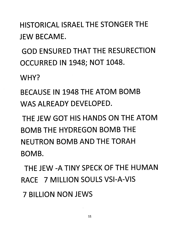*HISTORICAL ISRAEL THE STONGER THE JEW BECAME.*

*GOD ENSURED THAT THE RESURECTION OCCURRED IN 1948; NOT 1048.*

*WHY?*

*BECAUSE IN 1948 THE ATOM BOMB WAS ALREADY DEVELOPED.*

*THE JEW GOT HIS HANDS ON THE ATOM BOMB THE HYDREGON BOMB THE NEUTRON BOMB AND THE TORAH BOMB.*

*THE JEW -A TINY SPECK OF THE HUMAN RACE 7 MILLION SOULS VSI-A-VIS*

*7 BILLION NON JEWS*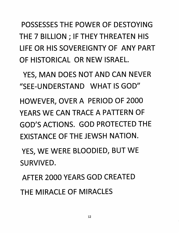*POSSESSES THE POWER OF DESTOYING THE 7 BILLION ; IF THEY THREATEN HIS LIFE OR HIS SOVEREIGNTY OF ANY PART OF HISTORICAL OR NEW ISRAEL.*

*YES, MAN DOES NOT AND CAN NEVER "SEE-UNDERSTAND WHAT IS GOD" HOWEVER, OVER A PERIOD OF 2000 YEARS WE CAN TRACE A PATTERN OF GOD'S ACTIONS. GOD PROTECTED THE EXISTANCE OF THE JEWSH NATION.*

*YES, WE WERE BLOODIED, BUT WE SURVIVED.*

*AFTER 2000 YEARS GOD CREATED THE MIRACLE OF MIRACLES*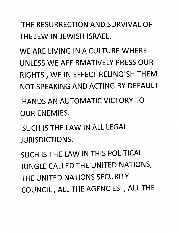*THE RESURRECTION AND SURVIVAL OF THE JEW IN JEWISH ISRAEL.*

*WE ARE LIVING IN A CULTURE WHERE UNLESS WE AFFIRMATIVELY PRESS OUR RIGHTS, WE IN EFFECT REUNQISH THEM NOT SPEAKING AND ACTING BY DEFAULT*

*HANDS AN AUTOMATIC VICTORY TO OUR ENEMIES.*

*SUCH IS THE LAW IN ALL LEGAL JURISDICTIONS.*

*SUCH IS THE LAW IN THIS POLITICAL JUNGLE CALLED THE UNITED NATIONS, THE UNITED NATIONS SECURITY COUNCIL, ALL THE AGENCIES , ALL THE*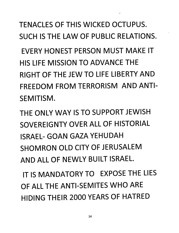*TENACLES OF THIS WICKED OCTUPUS. SUCH IS THE LAW OF PUBLIC RELATIONS. EVERY HONEST PERSON MUST MAKE IT HIS LIFE MISSION TO ADVANCE THE RIGHT OF THE JEW TO LIFE LIBERTY AND FREEDOM FROM TERRORISM AND ANTI-SEMITISM.*

*THE ONLY WAY IS TO SUPPORT JEWISH SOVEREIGNTY OVER ALL OF HISTORIAL ISRAEL- GOAN GAZA YEHUDAH SHOMRON OLD CITY OF JERUSALEM AND ALL OF NEWLY BUILT ISRAEL.*

*IT IS MANDATORY TO EXPOSE THE LIES OF ALL THE ANTI-SEMITES WHO ARE HIDING THEIR 2000 YEARS OF HATRED*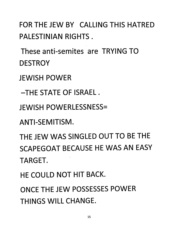*FOR THE JEW BY CALLING THIS HATRED PALESTINIAN RIGHTS.*

*These anti-semites are TRYING TO DESTROY*

*JEWISH POWER*

*-THE STATE OF ISRAEL .*

*JEWISH POWERLESSNESS=*

*ANTI-SEMITISM.*

*THE JEW WAS SINGLED OUT TO BE THE SCAPEGOAT BECAUSE HE WAS AN EASY TARGET.*

*HE COULD NOT HIT BACK.*

*ONCE THE JEW POSSESSES POWER THINGS WILL CHANGE.*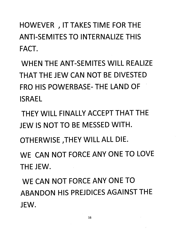*HOWEVER , IT TAKES TIME FOR THE ANTI-SEMITES TO INTERNALIZE THIS FACT.*

*WHEN THE ANT-SEMITES WILL REALIZE THAT THE JEW CAN NOT BE DIVESTED FRO HIS POWERBASE- THE LAND OF ISRAEL*

*THEY WILL FINALLY ACCEPT THAT THE JEW IS NOT TO BE MESSED WITH.*

*OTHERWISE ,THEY WILL ALL DIE.*

*WE CAN NOT FORCE ANY ONE TO LOVE THE JEW.*

*WE CAN NOT FORCE ANY ONE TO ABANDON HIS PREJDICES AGAINST THE JEW.*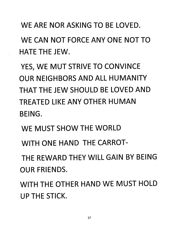*WE ARE NOR ASKING TO BE LOVED.*

*WE CAN NOT FORCE ANY ONE NOT TO HATE THE JEW.*

*YES, WE MUT STRIVE TO CONVINCE OUR NEIGHBORS AND ALL HUMANITY THAT THE JEW SHOULD BE LOVED AND TREATED LIKE ANY OTHER HUMAN BEING.*

*WE MUST SHOW THE WORLD*

*WITH ONE HAND THE CARROT-*

*THE REWARD THEY WILL GAIN BY BEING OUR FRIENDS.*

*WITH THE OTHER HAND WE MUST HOLD UP THE STICK.*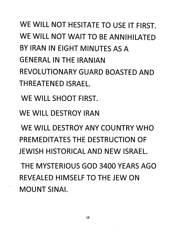## *WE WILL NOT HESITATE TO USE IT FIRST. WE WILL NOT WAIT TO BE ANNIHILATED BY IRAN IN EIGHT MINUTES AS A GENERAL IN THE IRANIAN REVOLUTIONARY GUARD BOASTED AND THREATENED ISRAEL.*

*WE WILL SHOOT FIRST.*

*WE WILL DESTROY IRAN*

*WE WILL DESTROY ANY COUNTRY WHO PREMEDITATES THE DESTRUCTION OF JEWISH HISTORICAL AND NEW ISRAEL.*

*THE MYSTERIOUS GOD 3400 YEARS AGO REVEALED HIMSELF TO THE JEW ON MOUNT SINAI.*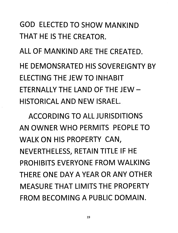## *GOD ELECTED TO SHOW MANKIND THAT HE IS THE CREATOR.*

*ALL OF MANKIND ARE THE CREATED.*

*HE DEMONSRATED HIS SOVEREIGNTY BY ELECTING THE JEW TO INHABIT ETERNALLY THE LAND OF THE JEW - HISTORICAL AND NEW ISRAEL.*

*ACCORDING TO ALL JURISDITIONS AN OWNER WHO PERMITS PEOPLE TO WALK ON HIS PROPERTY CAN, NEVERTHELESS, RETAIN TITLE IF HE PROHIBITS EVERYONE FROM WALKING THERE ONE DAY A YEAR OR ANY OTHER MEASURE THAT LIMITS THE PROPERTY FROM BECOMING A PUBLIC DOMAIN.*